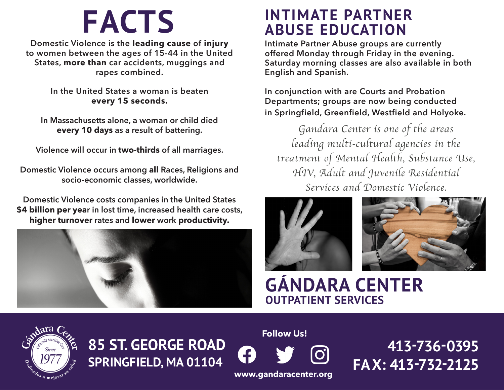**Domestic Violence is the leading cause of injury to women between the ages of 15-44 in the United States, more than car accidents, muggings and rapes combined.**

> **In the United States a woman is beaten every 15 seconds.**

**In Massachusetts alone, a woman or child died every 10 days as a result of battering.**

**Violence will occur in two-thirds of all marriages.**

**Domestic Violence occurs among all Races, Religions and socio-economic classes, worldwide.**

**Domestic Violence costs companies in the United States \$4 billion per year in lost time, increased health care costs, higher turnover rates and lower work productivity.**



## **FACTS INTIMATE PARTNER ABUSE EDUCATION**

**Intimate Partner Abuse groups are currently offered Monday through Friday in the evening. Saturday morning classes are also available in both English and Spanish.** 

**In conjunction with are Courts and Probation Departments; groups are now being conducted in Springfield, Greenfield, Westfield and Holyoke.** 

*Gandara Center is one of the areas leading multi-cultural agencies in the treatment of Mental Health, Substance Use, HIV, Adult and Juvenile Residential Services and Domestic Violence.*





### **GÁNDARA CENTER OUTPATIENT SERVICES**



**85 ST. GEORGE ROAD SPRINGFIELD, MA 01104**

**Follow Us!**



 **413-736-0395 FAX: 413-732-2125**

**www.gandaracenter.org**

3